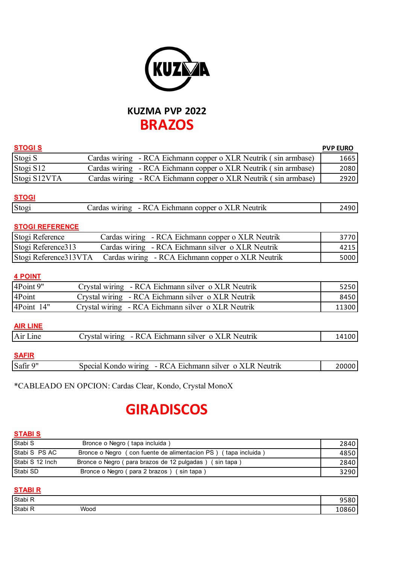

# **KUZMA PVP 2022 BRAZOS**

| <b>STOGIS</b> |                                                                 | <b>PVP EURO</b> |
|---------------|-----------------------------------------------------------------|-----------------|
| Stogi S       | Cardas wiring - RCA Eichmann copper o XLR Neutrik (sin armbase) | 1665            |
| Stogi S12     | Cardas wiring - RCA Eichmann copper o XLR Neutrik (sin armbase) | 2080            |
| Stogi S12VTA  | Cardas wiring - RCA Eichmann copper o XLR Neutrik (sin armbase) | 2920            |
|               |                                                                 |                 |

## **STOGI**

| Stog | -RC<br>-к<br>Neutrik<br>Eichmann conner o XL.<br>'Α<br>wiring<br>ardas<br>$\overline{\phantom{0}}$ |  |
|------|----------------------------------------------------------------------------------------------------|--|
|      |                                                                                                    |  |

# **STOGI REFERENCE**

| Stogi Reference    | Cardas wiring - RCA Eichmann copper o XLR Neutrik                        | 3770  |
|--------------------|--------------------------------------------------------------------------|-------|
| Stogi Reference313 | Cardas wiring - RCA Eichmann silver o XLR Neutrik                        | 42151 |
|                    | Stogi Reference313VTA  Cardas wiring - RCA Eichmann copper o XLR Neutrik | 5000  |

### **4 POINT**

| 4Point 9"  | Crystal wiring - RCA Eichmann silver o XLR Neutrik | 5250  |
|------------|----------------------------------------------------|-------|
| 4Point     | Crystal wiring - RCA Eichmann silver o XLR Neutrik | 8450  |
| 4Point 14" | Crystal wiring - RCA Eichmann silver o XLR Neutrik | 11300 |

#### **AIR LINE**

| Air Line | . - RCA Eichmann silver o XLR Neutrik<br>rvstal wiring | 14100 |
|----------|--------------------------------------------------------|-------|
|          |                                                        |       |

### **SAFIR**

|--|

\*CABLEADO EN OPCION: Cardas Clear, Kondo, Crystal MonoX

# **GIRADISCOS**

#### **STABI S**

| Stabi S         | Bronce o Negro (tapa incluida)                                 | 2840 |
|-----------------|----------------------------------------------------------------|------|
| Stabi S PS AC   | Bronce o Negro (con fuente de alimentacion PS) (tapa incluida) | 4850 |
| Stabi S 12 Inch | Bronce o Negro (para brazos de 12 pulgadas) (sin tapa)         | 2840 |
| Stabi SD        | Bronce o Negro (para 2 brazos) (sin tapa)                      | 3290 |

# **STABI R**

| Stabi <sub>R</sub> |      | , <u>.</u><br>- - |
|--------------------|------|-------------------|
| Stabi <sub>R</sub> | Wood |                   |